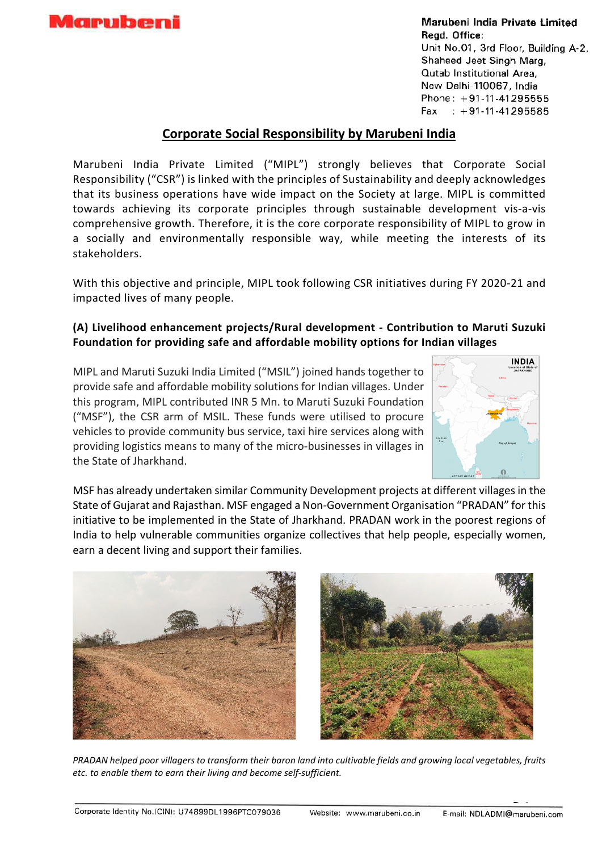

Marubeni India Private Limited Read. Office: Unit No.01, 3rd Floor, Building A-2, Shaheed Jeet Singh Marg, Qutab Institutional Area, New Delhi-110067, India Phone: +91-11-41295555 Fax  $: +91 - 11 - 41295585$ 

## **Corporate Social Responsibility by Marubeni India**

Marubeni India Private Limited ("MIPL") strongly believes that Corporate Social Responsibility ("CSR") is linked with the principles of Sustainability and deeply acknowledges that its business operations have wide impact on the Society at large. MIPL is committed towards achieving its corporate principles through sustainable development vis-a-vis comprehensive growth. Therefore, it is the core corporate responsibility of MIPL to grow in a socially and environmentally responsible way, while meeting the interests of its stakeholders.

With this objective and principle, MIPL took following CSR initiatives during FY 2020-21 and impacted lives of many people.

## **(A) Livelihood enhancement projects/Rural development - Contribution to Maruti Suzuki Foundation for providing safe and affordable mobility options for Indian villages**

MIPL and Maruti Suzuki India Limited ("MSIL") joined hands together to provide safe and affordable mobility solutions for Indian villages. Under this program, MIPL contributed INR 5 Mn. to Maruti Suzuki Foundation ("MSF"), the CSR arm of MSIL. These funds were utilised to procure vehicles to provide community bus service, taxi hire services along with providing logistics means to many of the micro-businesses in villages in the State of Jharkhand.



MSF has already undertaken similar Community Development projects at different villages in the State of Gujarat and Rajasthan. MSF engaged a Non-Government Organisation "PRADAN" for this initiative to be implemented in the State of Jharkhand. PRADAN work in the poorest regions of India to help vulnerable communities organize collectives that help people, especially women, earn a decent living and support their families.



*PRADAN helped poor villagers to transform their baron land into cultivable fields and growing local vegetables, fruits etc. to enable them to earn their living and become self-sufficient.*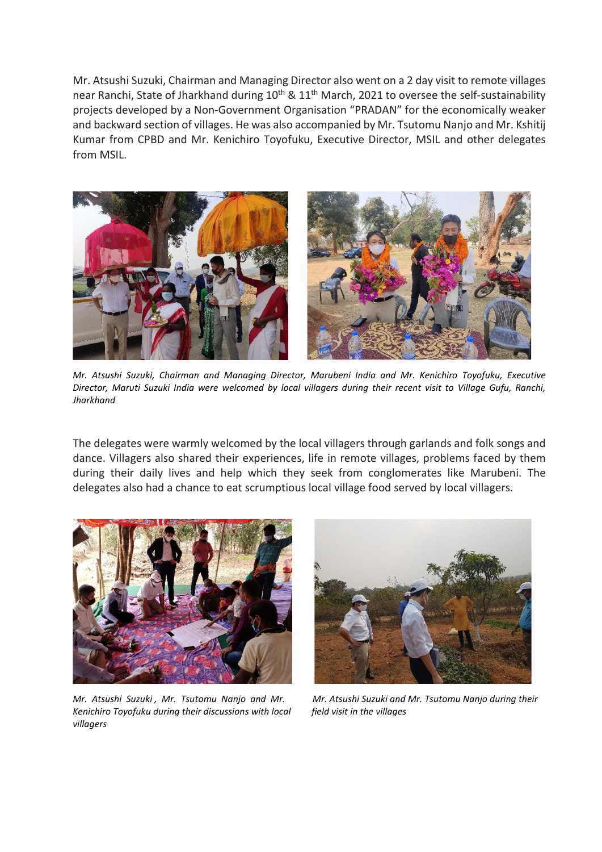Mr. Atsushi Suzuki, Chairman and Managing Director also went on a 2 day visit to remote villages near Ranchi, State of Jharkhand during 10<sup>th</sup> & 11<sup>th</sup> March, 2021 to oversee the self-sustainability projects developed by a Non-Government Organisation "PRADAN" for the economically weaker and backward section of villages. He was also accompanied by Mr. Tsutomu Nanjo and Mr. Kshitij Kumar from CPBD and Mr. Kenichiro Toyofuku, Executive Director, MSIL and other delegates from MSIL.



*Mr. Atsushi Suzuki, Chairman and Managing Director, Marubeni India and Mr. Kenichiro Toyofuku, Executive Director, Maruti Suzuki India were welcomed by local villagers during their recent visit to Village Gufu, Ranchi, Jharkhand* 

The delegates were warmly welcomed by the local villagers through garlands and folk songs and dance. Villagers also shared their experiences, life in remote villages, problems faced by them during their daily lives and help which they seek from conglomerates like Marubeni. The delegates also had a chance to eat scrumptious local village food served by local villagers.



*Kenichiro Toyofuku during their discussions with local field visit in the villages villagers*



*Mr. Atsushi Suzuki , Mr. Tsutomu Nanjo and Mr. Mr. Atsushi Suzuki and Mr. Tsutomu Nanjo during their*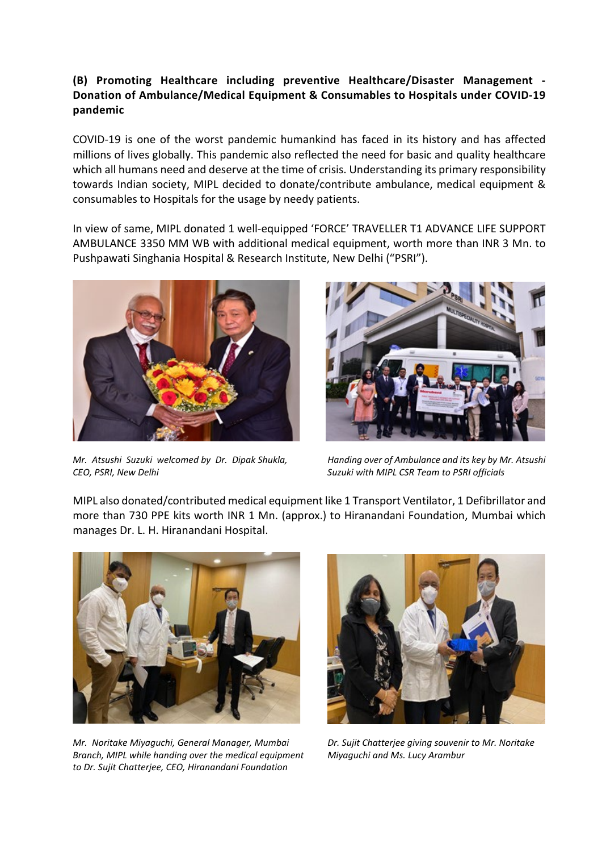## **(B) Promoting Healthcare including preventive Healthcare/Disaster Management - Donation of Ambulance/Medical Equipment & Consumables to Hospitals under COVID-19 pandemic**

COVID-19 is one of the worst pandemic humankind has faced in its history and has affected millions of lives globally. This pandemic also reflected the need for basic and quality healthcare which all humans need and deserve at the time of crisis. Understanding its primary responsibility towards Indian society, MIPL decided to donate/contribute ambulance, medical equipment & consumables to Hospitals for the usage by needy patients.

In view of same, MIPL donated 1 well-equipped 'FORCE' TRAVELLER T1 ADVANCE LIFE SUPPORT AMBULANCE 3350 MM WB with additional medical equipment, worth more than INR 3 Mn. to Pushpawati Singhania Hospital & Research Institute, New Delhi ("PSRI").



*CEO, PSRI, New Delhi Suzuki with MIPL CSR Team to PSRI officials* 



*Mr. Atsushi Suzuki welcomed by Dr. Dipak Shukla, Handing over of Ambulance and its key by Mr. Atsushi* 

MIPL also donated/contributed medical equipment like 1 Transport Ventilator, 1 Defibrillator and more than 730 PPE kits worth INR 1 Mn. (approx.) to Hiranandani Foundation, Mumbai which manages Dr. L. H. Hiranandani Hospital.



*Mr. Noritake Miyaguchi, General Manager, Mumbai Dr. Sujit Chatterjee giving souvenir to Mr. Noritake Branch, MIPL while handing over the medical equipment Miyaguchi and Ms. Lucy Arambur to Dr. Sujit Chatterjee, CEO, Hiranandani Foundation*